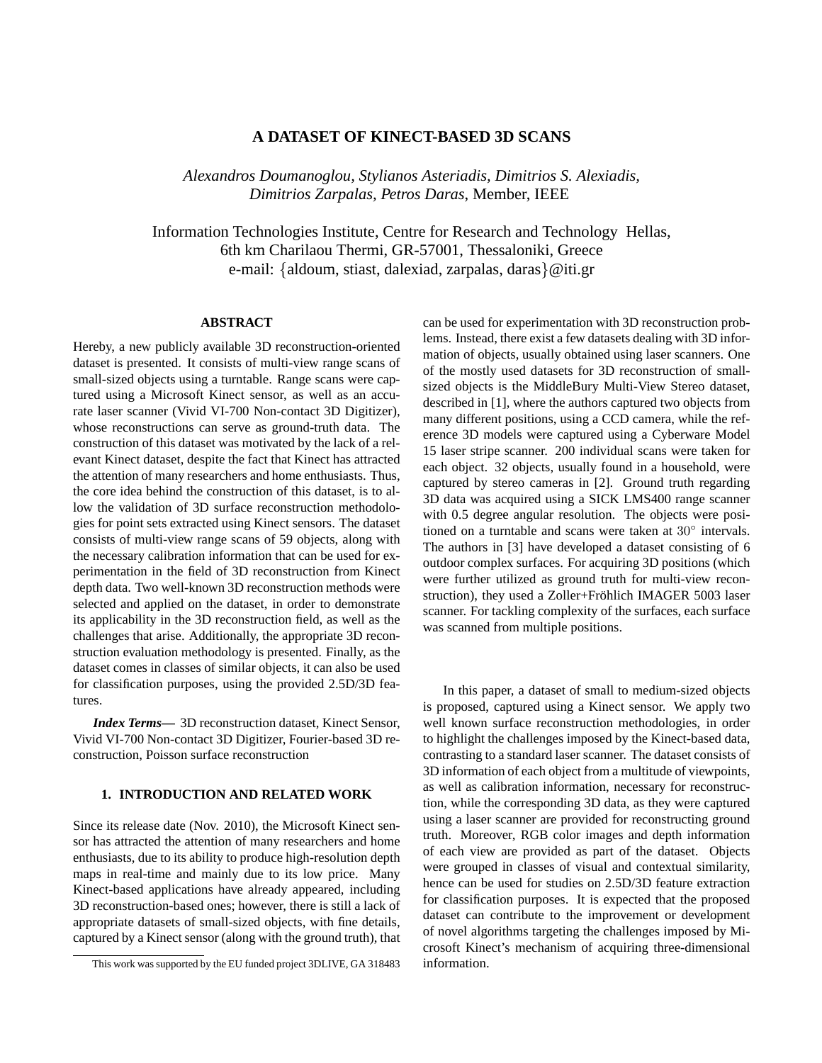# **A DATASET OF KINECT-BASED 3D SCANS**

*Alexandros Doumanoglou, Stylianos Asteriadis, Dimitrios S. Alexiadis, Dimitrios Zarpalas, Petros Daras*, Member, IEEE

Information Technologies Institute, Centre for Research and Technology Hellas, 6th km Charilaou Thermi, GR-57001, Thessaloniki, Greece e-mail: {aldoum, stiast, dalexiad, zarpalas, daras}@iti.gr

## **ABSTRACT**

Hereby, a new publicly available 3D reconstruction-oriented dataset is presented. It consists of multi-view range scans of small-sized objects using a turntable. Range scans were captured using a Microsoft Kinect sensor, as well as an accurate laser scanner (Vivid VI-700 Non-contact 3D Digitizer), whose reconstructions can serve as ground-truth data. The construction of this dataset was motivated by the lack of a relevant Kinect dataset, despite the fact that Kinect has attracted the attention of many researchers and home enthusiasts. Thus, the core idea behind the construction of this dataset, is to allow the validation of 3D surface reconstruction methodologies for point sets extracted using Kinect sensors. The dataset consists of multi-view range scans of 59 objects, along with the necessary calibration information that can be used for experimentation in the field of 3D reconstruction from Kinect depth data. Two well-known 3D reconstruction methods were selected and applied on the dataset, in order to demonstrate its applicability in the 3D reconstruction field, as well as the challenges that arise. Additionally, the appropriate 3D reconstruction evaluation methodology is presented. Finally, as the dataset comes in classes of similar objects, it can also be used for classification purposes, using the provided 2.5D/3D features.

*Index Terms***—** 3D reconstruction dataset, Kinect Sensor, Vivid VI-700 Non-contact 3D Digitizer, Fourier-based 3D reconstruction, Poisson surface reconstruction

## **1. INTRODUCTION AND RELATED WORK**

Since its release date (Nov. 2010), the Microsoft Kinect sensor has attracted the attention of many researchers and home enthusiasts, due to its ability to produce high-resolution depth maps in real-time and mainly due to its low price. Many Kinect-based applications have already appeared, including 3D reconstruction-based ones; however, there is still a lack of appropriate datasets of small-sized objects, with fine details, captured by a Kinect sensor (along with the ground truth), that

can be used for experimentation with 3D reconstruction problems. Instead, there exist a few datasets dealing with 3D information of objects, usually obtained using laser scanners. One of the mostly used datasets for 3D reconstruction of smallsized objects is the MiddleBury Multi-View Stereo dataset, described in [1], where the authors captured two objects from many different positions, using a CCD camera, while the reference 3D models were captured using a Cyberware Model 15 laser stripe scanner. 200 individual scans were taken for each object. 32 objects, usually found in a household, were captured by stereo cameras in [2]. Ground truth regarding 3D data was acquired using a SICK LMS400 range scanner with 0.5 degree angular resolution. The objects were positioned on a turntable and scans were taken at 30° intervals. The authors in [3] have developed a dataset consisting of 6 outdoor complex surfaces. For acquiring 3D positions (which were further utilized as ground truth for multi-view reconstruction), they used a Zoller+Fröhlich IMAGER 5003 laser scanner. For tackling complexity of the surfaces, each surface was scanned from multiple positions.

In this paper, a dataset of small to medium-sized objects is proposed, captured using a Kinect sensor. We apply two well known surface reconstruction methodologies, in order to highlight the challenges imposed by the Kinect-based data, contrasting to a standard laser scanner. The dataset consists of 3D information of each object from a multitude of viewpoints, as well as calibration information, necessary for reconstruction, while the corresponding 3D data, as they were captured using a laser scanner are provided for reconstructing ground truth. Moreover, RGB color images and depth information of each view are provided as part of the dataset. Objects were grouped in classes of visual and contextual similarity, hence can be used for studies on 2.5D/3D feature extraction for classification purposes. It is expected that the proposed dataset can contribute to the improvement or development of novel algorithms targeting the challenges imposed by Microsoft Kinect's mechanism of acquiring three-dimensional information.

This work was supported by the EU funded project 3DLIVE, GA 318483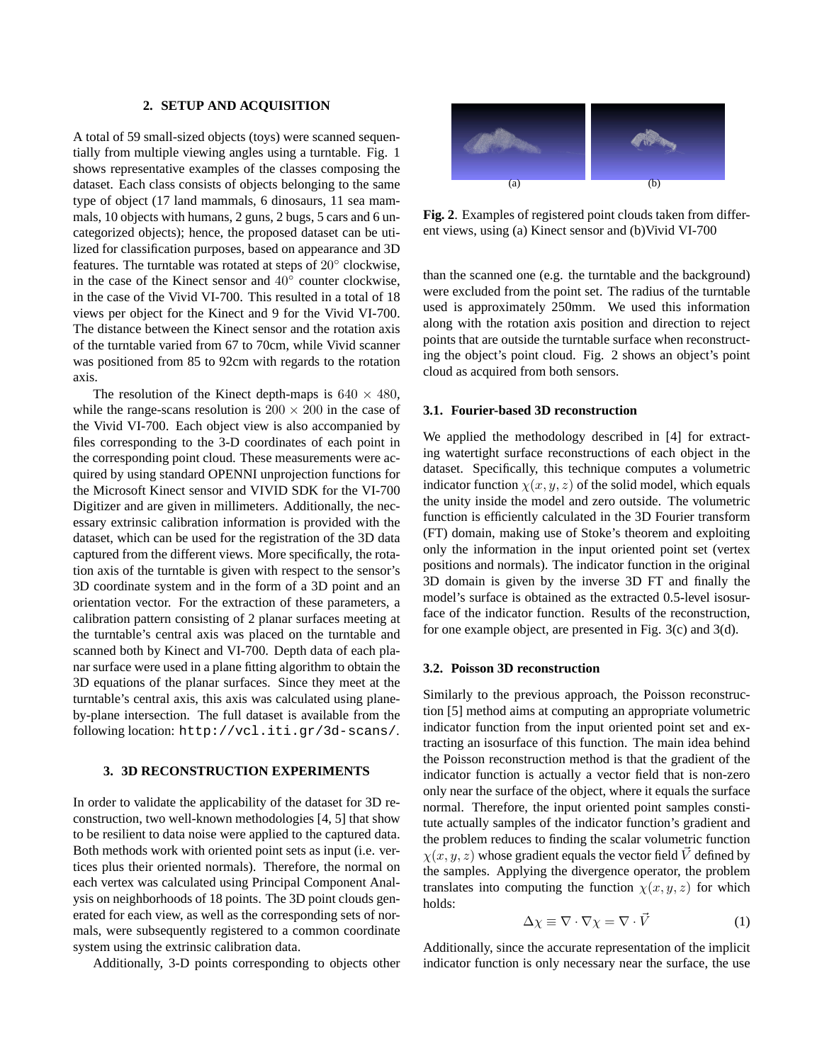### **2. SETUP AND ACQUISITION**

A total of 59 small-sized objects (toys) were scanned sequentially from multiple viewing angles using a turntable. Fig. 1 shows representative examples of the classes composing the dataset. Each class consists of objects belonging to the same type of object (17 land mammals, 6 dinosaurs, 11 sea mammals, 10 objects with humans, 2 guns, 2 bugs, 5 cars and 6 uncategorized objects); hence, the proposed dataset can be utilized for classification purposes, based on appearance and 3D features. The turntable was rotated at steps of 20◦ clockwise, in the case of the Kinect sensor and  $40^{\circ}$  counter clockwise, in the case of the Vivid VI-700. This resulted in a total of 18 views per object for the Kinect and 9 for the Vivid VI-700. The distance between the Kinect sensor and the rotation axis of the turntable varied from 67 to 70cm, while Vivid scanner was positioned from 85 to 92cm with regards to the rotation axis.

The resolution of the Kinect depth-maps is  $640 \times 480$ , while the range-scans resolution is  $200 \times 200$  in the case of the Vivid VI-700. Each object view is also accompanied by files corresponding to the 3-D coordinates of each point in the corresponding point cloud. These measurements were acquired by using standard OPENNI unprojection functions for the Microsoft Kinect sensor and VIVID SDK for the VI-700 Digitizer and are given in millimeters. Additionally, the necessary extrinsic calibration information is provided with the dataset, which can be used for the registration of the 3D data captured from the different views. More specifically, the rotation axis of the turntable is given with respect to the sensor's 3D coordinate system and in the form of a 3D point and an orientation vector. For the extraction of these parameters, a calibration pattern consisting of 2 planar surfaces meeting at the turntable's central axis was placed on the turntable and scanned both by Kinect and VI-700. Depth data of each planar surface were used in a plane fitting algorithm to obtain the 3D equations of the planar surfaces. Since they meet at the turntable's central axis, this axis was calculated using planeby-plane intersection. The full dataset is available from the following location: http://vcl.iti.gr/3d-scans/.

# **3. 3D RECONSTRUCTION EXPERIMENTS**

In order to validate the applicability of the dataset for 3D reconstruction, two well-known methodologies [4, 5] that show to be resilient to data noise were applied to the captured data. Both methods work with oriented point sets as input (i.e. vertices plus their oriented normals). Therefore, the normal on each vertex was calculated using Principal Component Analysis on neighborhoods of 18 points. The 3D point clouds generated for each view, as well as the corresponding sets of normals, were subsequently registered to a common coordinate system using the extrinsic calibration data.

Additionally, 3-D points corresponding to objects other



**Fig. 2**. Examples of registered point clouds taken from different views, using (a) Kinect sensor and (b)Vivid VI-700

than the scanned one (e.g. the turntable and the background) were excluded from the point set. The radius of the turntable used is approximately 250mm. We used this information along with the rotation axis position and direction to reject points that are outside the turntable surface when reconstructing the object's point cloud. Fig. 2 shows an object's point cloud as acquired from both sensors.

#### **3.1. Fourier-based 3D reconstruction**

We applied the methodology described in [4] for extracting watertight surface reconstructions of each object in the dataset. Specifically, this technique computes a volumetric indicator function  $\chi(x, y, z)$  of the solid model, which equals the unity inside the model and zero outside. The volumetric function is efficiently calculated in the 3D Fourier transform (FT) domain, making use of Stoke's theorem and exploiting only the information in the input oriented point set (vertex positions and normals). The indicator function in the original 3D domain is given by the inverse 3D FT and finally the model's surface is obtained as the extracted 0.5-level isosurface of the indicator function. Results of the reconstruction, for one example object, are presented in Fig. 3(c) and 3(d).

#### **3.2. Poisson 3D reconstruction**

Similarly to the previous approach, the Poisson reconstruction [5] method aims at computing an appropriate volumetric indicator function from the input oriented point set and extracting an isosurface of this function. The main idea behind the Poisson reconstruction method is that the gradient of the indicator function is actually a vector field that is non-zero only near the surface of the object, where it equals the surface normal. Therefore, the input oriented point samples constitute actually samples of the indicator function's gradient and the problem reduces to finding the scalar volumetric function  $\chi(x, y, z)$  whose gradient equals the vector field  $\vec{V}$  defined by the samples. Applying the divergence operator, the problem translates into computing the function  $\chi(x, y, z)$  for which holds:

$$
\Delta \chi \equiv \nabla \cdot \nabla \chi = \nabla \cdot \vec{V} \tag{1}
$$

Additionally, since the accurate representation of the implicit indicator function is only necessary near the surface, the use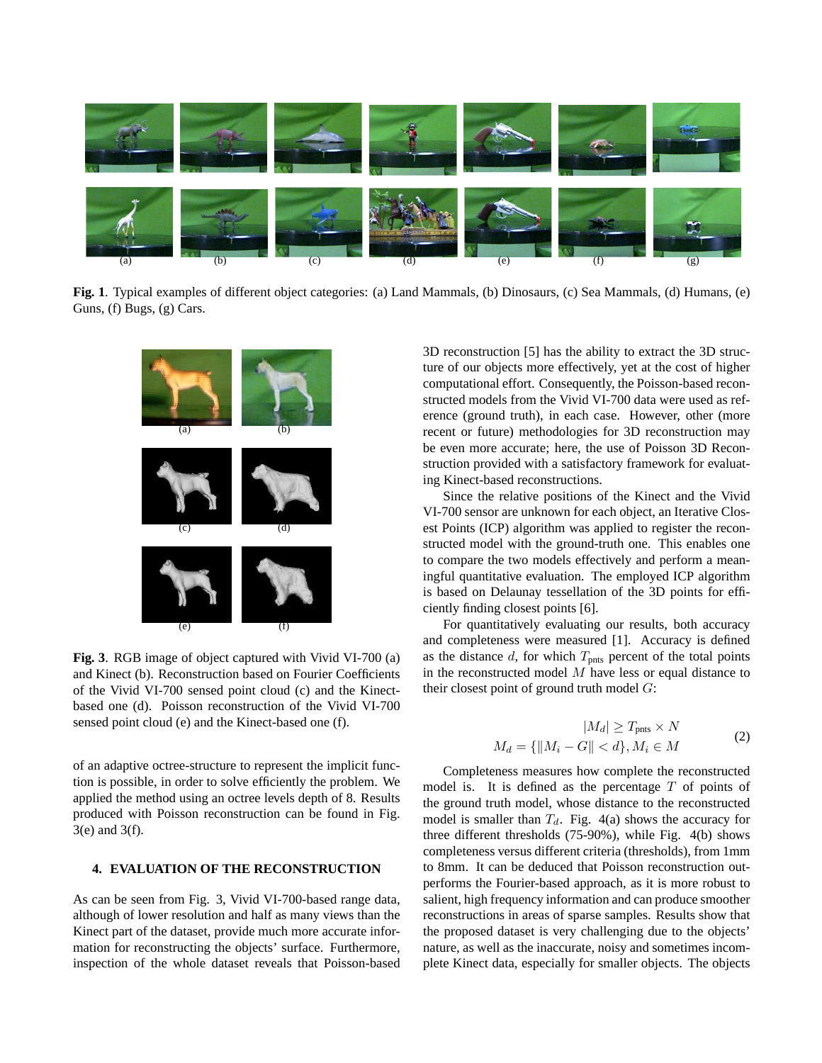

**Fig. 1**. Typical examples of different object categories: (a) Land Mammals, (b) Dinosaurs, (c) Sea Mammals, (d) Humans, (e) Guns, (f) Bugs, (g) Cars.



**Fig. 3**. RGB image of object captured with Vivid VI-700 (a) and Kinect (b). Reconstruction based on Fourier Coefficients of the Vivid VI-700 sensed point cloud (c) and the Kinectbased one (d). Poisson reconstruction of the Vivid VI-700 sensed point cloud (e) and the Kinect-based one (f).

of an adaptive octree-structure to represent the implicit function is possible, in order to solve efficiently the problem. We applied the method using an octree levels depth of 8. Results produced with Poisson reconstruction can be found in Fig. 3(e) and 3(f).

## **4. EVALUATION OF THE RECONSTRUCTION**

As can be seen from Fig. 3, Vivid VI-700-based range data, although of lower resolution and half as many views than the Kinect part of the dataset, provide much more accurate information for reconstructing the objects' surface. Furthermore, inspection of the whole dataset reveals that Poisson-based 3D reconstruction [5] has the ability to extract the 3D structure of our objects more effectively, yet at the cost of higher computational effort. Consequently, the Poisson-based reconstructed models from the Vivid VI-700 data were used as reference (ground truth), in each case. However, other (more recent or future) methodologies for 3D reconstruction may be even more accurate; here, the use of Poisson 3D Reconstruction provided with a satisfactory framework for evaluating Kinect-based reconstructions.

Since the relative positions of the Kinect and the Vivid VI-700 sensor are unknown for each object, an Iterative Closest Points (ICP) algorithm was applied to register the reconstructed model with the ground-truth one. This enables one to compare the two models effectively and perform a meaningful quantitative evaluation. The employed ICP algorithm is based on Delaunay tessellation of the 3D points for efficiently finding closest points [6].

For quantitatively evaluating our results, both accuracy and completeness were measured [1]. Accuracy is defined as the distance  $d$ , for which  $T_{\text{pnts}}$  percent of the total points in the reconstructed model  $M$  have less or equal distance to their closest point of ground truth model  $G$ :

$$
|M_d| \ge T_{\text{prts}} \times N
$$
  

$$
M_d = \{ ||M_i - G|| < d \}, M_i \in M
$$
 (2)

Completeness measures how complete the reconstructed model is. It is defined as the percentage  $T$  of points of the ground truth model, whose distance to the reconstructed model is smaller than  $T_d$ . Fig. 4(a) shows the accuracy for three different thresholds (75-90%), while Fig. 4(b) shows completeness versus different criteria (thresholds), from 1mm to 8mm. It can be deduced that Poisson reconstruction outperforms the Fourier-based approach, as it is more robust to salient, high frequency information and can produce smoother reconstructions in areas of sparse samples. Results show that the proposed dataset is very challenging due to the objects' nature, as well as the inaccurate, noisy and sometimes incomplete Kinect data, especially for smaller objects. The objects